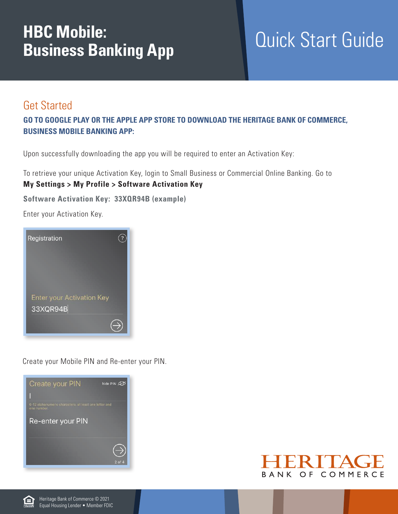## **HBC Mobile: Business Banking App**

## Quick Start Guide

## Get Started

## **Go to Google Play or the Apple App Store to download the Heritage Bank of Commerce, Business Mobile Banking App:**

Upon successfully downloading the app you will be required to enter an Activation Key:

To retrieve your unique Activation Key, login to Small Business or Commercial Online Banking. Go to **My Settings > My Profile > Software Activation Key** 

**Software Activation Key: 33XQR94B (example)**

Enter your Activation Key.



Create your Mobile PIN and Re-enter your PIN.